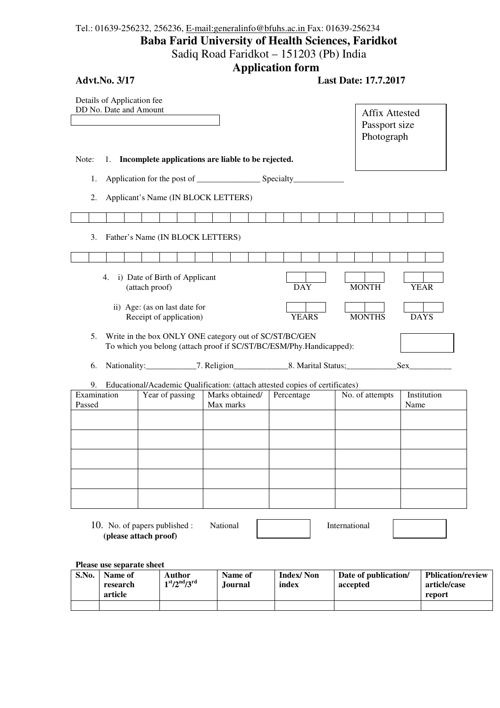## Tel.: 01639-256232, 256236, E-mail:generalinfo@bfuhs.ac.in Fax: 01639-256234 **Baba Farid University of Health Sciences, Faridkot**  Sadiq Road Faridkot – 151203 (Pb) India

**Application form** 

| <b>Advt.No. 3/17</b>                                 |                                                          | . .                                                    |                                                                                         | <b>Last Date: 17.7.2017</b>                          |             |
|------------------------------------------------------|----------------------------------------------------------|--------------------------------------------------------|-----------------------------------------------------------------------------------------|------------------------------------------------------|-------------|
| Details of Application fee<br>DD No. Date and Amount |                                                          |                                                        |                                                                                         | <b>Affix Attested</b><br>Passport size<br>Photograph |             |
| Note:                                                |                                                          | 1. Incomplete applications are liable to be rejected.  |                                                                                         |                                                      |             |
| 1.                                                   |                                                          |                                                        |                                                                                         |                                                      |             |
| 2.                                                   | Applicant's Name (IN BLOCK LETTERS)                      |                                                        |                                                                                         |                                                      |             |
|                                                      |                                                          |                                                        |                                                                                         |                                                      |             |
| 3.                                                   | Father's Name (IN BLOCK LETTERS)                         |                                                        |                                                                                         |                                                      |             |
|                                                      |                                                          |                                                        |                                                                                         |                                                      |             |
|                                                      | 4. i) Date of Birth of Applicant<br>(attach proof)       |                                                        | <b>DAY</b>                                                                              | <b>MONTH</b>                                         | <b>YEAR</b> |
|                                                      | ii) Age: (as on last date for<br>Receipt of application) |                                                        | <b>YEARS</b>                                                                            | <b>MONTHS</b>                                        | <b>DAYS</b> |
| 5.                                                   |                                                          | Write in the box ONLY ONE category out of SC/ST/BC/GEN | To which you belong (attach proof if SC/ST/BC/ESM/Phy.Handicapped):                     |                                                      |             |
| 6.                                                   |                                                          |                                                        | Nationality: ______________7. Religion________________8. Marital Status; ______________ |                                                      | Sex         |
| 9.<br>Examination                                    | Year of passing                                          |                                                        | Educational/Academic Qualification: (attach attested copies of certificates)            |                                                      | Institution |
| Passed                                               |                                                          | Marks obtained/<br>Max marks                           | Percentage                                                                              | No. of attempts                                      | Name        |
|                                                      |                                                          |                                                        |                                                                                         |                                                      |             |
|                                                      |                                                          |                                                        |                                                                                         |                                                      |             |
|                                                      |                                                          |                                                        |                                                                                         |                                                      |             |
|                                                      |                                                          |                                                        |                                                                                         |                                                      |             |
|                                                      |                                                          |                                                        |                                                                                         |                                                      |             |
|                                                      |                                                          |                                                        |                                                                                         |                                                      |             |
|                                                      | 10. No. of papers published :<br>(please attach proof)   | National                                               |                                                                                         | International                                        |             |

**Please use separate sheet** 

| S.No. | Name of<br>research<br>article | Author<br>$1st/2nd/3rd$ | Name of<br>.Iournal | <b>Index/Non</b><br>index | Date of publication/<br>accepted | <b>Pblication/review</b><br>article/case<br>report |
|-------|--------------------------------|-------------------------|---------------------|---------------------------|----------------------------------|----------------------------------------------------|
|       |                                |                         |                     |                           |                                  |                                                    |